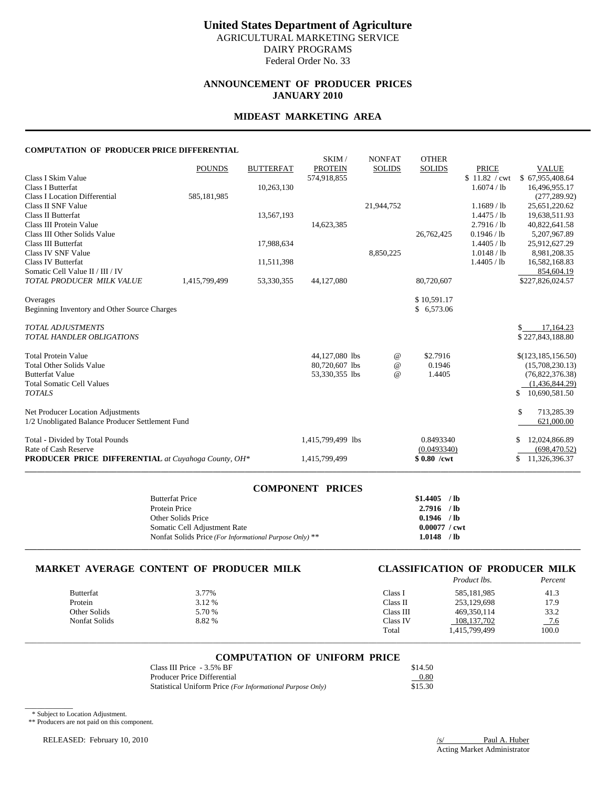# **ANNOUNCEMENT OF PRODUCER PRICES JANUARY 2010**

## **MIDEAST MARKETING AREA**

#### **COMPUTATION OF PRODUCER PRICE DIFFERENTIAL**

|                                                            |               |                  | SKIM/             | <b>NONFAT</b> | <b>OTHER</b>  |               |                      |
|------------------------------------------------------------|---------------|------------------|-------------------|---------------|---------------|---------------|----------------------|
|                                                            | <b>POUNDS</b> | <b>BUTTERFAT</b> | <b>PROTEIN</b>    | <b>SOLIDS</b> | <b>SOLIDS</b> | <b>PRICE</b>  | <b>VALUE</b>         |
| Class I Skim Value                                         |               |                  | 574,918,855       |               |               | \$11.82 / cwt | \$67,955,408.64      |
| Class I Butterfat                                          |               | 10,263,130       |                   |               |               | 1.6074 / lb   | 16,496,955.17        |
| <b>Class I Location Differential</b>                       | 585,181,985   |                  |                   |               |               |               | (277, 289.92)        |
| Class II SNF Value                                         |               |                  |                   | 21,944,752    |               | $1.1689$ / lb | 25,651,220.62        |
| Class II Butterfat                                         |               | 13,567,193       |                   |               |               | 1.4475 / lb   | 19,638,511.93        |
| Class III Protein Value                                    |               |                  | 14,623,385        |               |               | 2.7916 / lb   | 40,822,641.58        |
| Class III Other Solids Value                               |               |                  |                   |               | 26,762,425    | 0.1946 / lb   | 5,207,967.89         |
| Class III Butterfat                                        |               | 17,988,634       |                   |               |               | 1.4405 / lb   | 25,912,627.29        |
| Class IV SNF Value                                         |               |                  |                   | 8,850,225     |               | 1.0148 / lb   | 8,981,208.35         |
| Class IV Butterfat                                         |               | 11,511,398       |                   |               |               | 1.4405 / lb   | 16,582,168.83        |
| Somatic Cell Value II / III / IV                           |               |                  |                   |               |               |               | 854,604.19           |
| TOTAL PRODUCER MILK VALUE                                  | 1,415,799,499 | 53,330,355       | 44,127,080        |               | 80,720,607    |               | \$227,826,024.57     |
| Overages                                                   |               |                  |                   |               | \$10,591.17   |               |                      |
| Beginning Inventory and Other Source Charges               |               |                  |                   |               | \$6,573.06    |               |                      |
| <b>TOTAL ADJUSTMENTS</b>                                   |               |                  |                   |               |               |               | 17,164.23<br>\$      |
| <b>TOTAL HANDLER OBLIGATIONS</b>                           |               |                  |                   |               |               |               | \$227,843,188.80     |
| <b>Total Protein Value</b>                                 |               |                  | 44,127,080 lbs    | $^{\circ}$    | \$2.7916      |               | \$(123, 185, 156.50) |
| <b>Total Other Solids Value</b>                            |               |                  | 80,720,607 lbs    | $^{\circ}$    | 0.1946        |               | (15,708,230.13)      |
| <b>Butterfat Value</b>                                     |               |                  | 53,330,355 lbs    | $^{\circ}$    | 1.4405        |               | (76,822,376.38)      |
| <b>Total Somatic Cell Values</b>                           |               |                  |                   |               |               |               | (1,436,844.29)       |
| <b>TOTALS</b>                                              |               |                  |                   |               |               |               | 10,690,581.50<br>\$  |
| Net Producer Location Adjustments                          |               |                  |                   |               |               |               | \$<br>713,285.39     |
| 1/2 Unobligated Balance Producer Settlement Fund           |               |                  |                   |               |               |               | 621,000.00           |
| Total - Divided by Total Pounds                            |               |                  | 1,415,799,499 lbs |               | 0.8493340     |               | 12,024,866.89        |
| Rate of Cash Reserve                                       |               |                  |                   |               | (0.0493340)   |               | (698, 470.52)        |
| <b>PRODUCER PRICE DIFFERENTIAL</b> at Cuyahoga County, OH* |               |                  | 1,415,799,499     |               | $$0.80$ /cwt  |               | 11,326,396.37<br>\$  |
|                                                            |               |                  |                   |               |               |               |                      |

# **COMPONENT PRICES**

| <b>Butterfat Price</b>                                  | \$1,4405               | $/$ lb |
|---------------------------------------------------------|------------------------|--------|
| Protein Price                                           | 2.7916                 | $/$ lb |
| Other Solids Price                                      | 0.1946                 | $/$ lb |
| Somatic Cell Adjustment Rate                            | $0.00077 / \text{cwt}$ |        |
| Nonfat Solids Price (For Informational Purpose Only) ** | 1.0148                 | / lb   |
|                                                         |                        |        |

# **MARKET AVERAGE CONTENT OF PRODUCER MILK CLASSIFICATION OF PRODUCER MILK**

|                  |        |           | <i>Product lbs.</i> | Percent |
|------------------|--------|-----------|---------------------|---------|
| <b>Butterfat</b> | 3.77%  | Class I   | 585.181.985         | 41.3    |
| Protein          | 3.12 % | Class II  | 253.129.698         | 17.9    |
| Other Solids     | 5.70 % | Class III | 469, 350, 114       | 33.2    |
| Nonfat Solids    | 8.82 % | Class IV  | 108, 137, 702       | $-7.6$  |
|                  |        | Total     | 1,415,799,499       | 100.0   |

# \_\_\_\_\_\_\_\_\_\_\_\_\_\_\_\_\_\_\_\_\_\_\_\_\_\_\_\_\_\_\_\_\_\_\_\_\_\_\_\_\_\_\_\_\_\_\_\_\_\_\_\_\_\_\_\_\_\_\_\_\_\_\_\_\_\_\_\_\_\_\_\_\_\_\_\_\_\_\_\_\_\_\_\_\_\_\_\_\_\_\_\_\_\_\_\_\_\_\_\_\_\_\_\_\_\_\_\_\_\_\_\_\_\_\_\_\_\_\_\_\_\_\_\_\_\_\_\_\_\_\_\_\_\_\_\_\_\_\_ **COMPUTATION OF UNIFORM PRICE**

| Class III Price - 3.5% BF                                  | \$14.50 |
|------------------------------------------------------------|---------|
| Producer Price Differential                                | 0.80    |
| Statistical Uniform Price (For Informational Purpose Only) | \$15.30 |

\* Subject to Location Adjustment.

 $\overline{\phantom{a}}$ 

\*\* Producers are not paid on this component.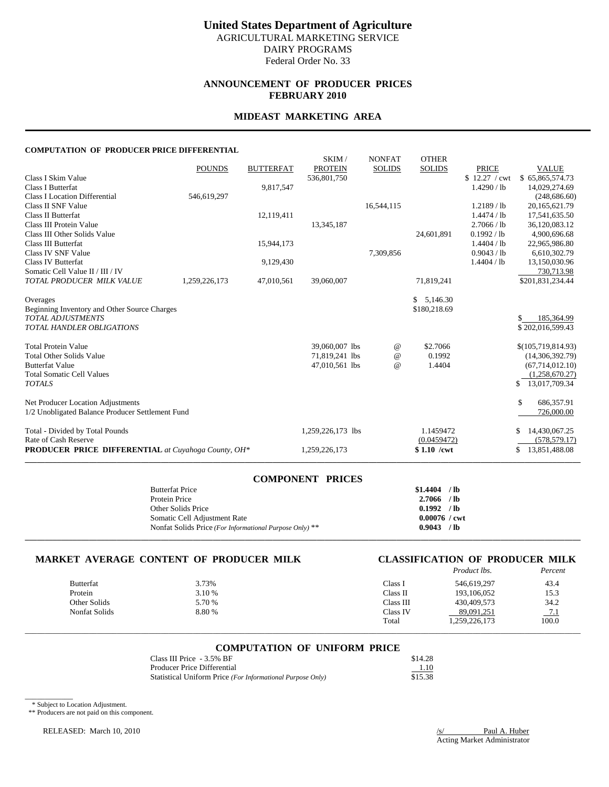# **ANNOUNCEMENT OF PRODUCER PRICES FEBRUARY 2010**

## **MIDEAST MARKETING AREA**

#### **COMPUTATION OF PRODUCER PRICE DIFFERENTIAL**

|                                                            |               |                  | SKIM/             | <b>NONFAT</b>   | <b>OTHER</b>  |               |                     |
|------------------------------------------------------------|---------------|------------------|-------------------|-----------------|---------------|---------------|---------------------|
|                                                            | <b>POUNDS</b> | <b>BUTTERFAT</b> | <b>PROTEIN</b>    | <b>SOLIDS</b>   | <b>SOLIDS</b> | <b>PRICE</b>  | <b>VALUE</b>        |
| Class I Skim Value                                         |               |                  | 536,801,750       |                 |               | \$12.27 / cwt | \$65,865,574.73     |
| Class I Butterfat                                          |               | 9,817,547        |                   |                 |               | 1.4290 / lb   | 14,029,274.69       |
| <b>Class I Location Differential</b>                       | 546,619,297   |                  |                   |                 |               |               | (248, 686.60)       |
| Class II SNF Value                                         |               |                  |                   | 16,544,115      |               | $1.2189$ / lb | 20, 165, 621. 79    |
| Class II Butterfat                                         |               | 12,119,411       |                   |                 |               | 1.4474 / lb   | 17,541,635.50       |
| Class III Protein Value                                    |               |                  | 13,345,187        |                 |               | 2.7066 / lb   | 36,120,083.12       |
| Class III Other Solids Value                               |               |                  |                   |                 | 24,601,891    | 0.1992 / lb   | 4,900,696.68        |
| Class III Butterfat                                        |               | 15,944,173       |                   |                 |               | 1.4404 / lb   | 22,965,986.80       |
| Class IV SNF Value                                         |               |                  |                   | 7,309,856       |               | 0.9043 / lb   | 6,610,302.79        |
| Class IV Butterfat                                         |               | 9,129,430        |                   |                 |               | 1.4404 / lb   | 13,150,030.96       |
| Somatic Cell Value II / III / IV                           |               |                  |                   |                 |               |               | 730,713.98          |
| TOTAL PRODUCER MILK VALUE                                  | 1,259,226,173 | 47,010,561       | 39,060,007        |                 | 71,819,241    |               | \$201,831,234.44    |
| Overages                                                   |               |                  |                   |                 | \$5,146.30    |               |                     |
| Beginning Inventory and Other Source Charges               |               |                  |                   |                 | \$180,218.69  |               |                     |
| <b>TOTAL ADJUSTMENTS</b>                                   |               |                  |                   |                 |               |               | \$<br>185,364.99    |
| <b>TOTAL HANDLER OBLIGATIONS</b>                           |               |                  |                   |                 |               |               | \$202,016,599.43    |
| <b>Total Protein Value</b>                                 |               |                  | 39,060,007 lbs    | $^{\copyright}$ | \$2.7066      |               | \$(105,719,814.93)  |
| <b>Total Other Solids Value</b>                            |               |                  | 71,819,241 lbs    | $\omega$        | 0.1992        |               | (14,306,392.79)     |
| <b>Butterfat Value</b>                                     |               |                  | 47,010,561 lbs    | $\omega$        | 1.4404        |               | (67,714,012.10)     |
| <b>Total Somatic Cell Values</b>                           |               |                  |                   |                 |               |               | (1,258,670.27)      |
| <b>TOTALS</b>                                              |               |                  |                   |                 |               |               | 13,017,709.34<br>\$ |
| Net Producer Location Adjustments                          |               |                  |                   |                 |               |               | \$<br>686,357.91    |
| 1/2 Unobligated Balance Producer Settlement Fund           |               |                  |                   |                 |               |               | 726,000.00          |
| Total - Divided by Total Pounds                            |               |                  | 1,259,226,173 lbs |                 | 1.1459472     |               | 14,430,067.25       |
| Rate of Cash Reserve                                       |               |                  |                   |                 | (0.0459472)   |               | (578, 579.17)       |
| <b>PRODUCER PRICE DIFFERENTIAL</b> at Cuyahoga County, OH* |               |                  | 1,259,226,173     |                 | $$1.10$ /cwt  |               | 13,851,488.08<br>\$ |
|                                                            |               |                  |                   |                 |               |               |                     |

| <b>COMPONENT PRICES</b>                                 |                        |  |
|---------------------------------------------------------|------------------------|--|
| <b>Butterfat Price</b>                                  | \$1.4404<br>$/$ lb     |  |
| Protein Price                                           | 2.7066<br>$/$ lb       |  |
| Other Solids Price                                      | $0.1992$ /lb           |  |
| Somatic Cell Adjustment Rate                            | $0.00076 / \text{cwt}$ |  |
| Nonfat Solids Price (For Informational Purpose Only) ** | $/$ lb<br>0.9043       |  |
|                                                         |                        |  |

# **MARKET AVERAGE CONTENT OF PRODUCER MILK CLASSIFICATION OF PRODUCER MILK** Product lbs. Percent

|                  |        |           | Product lbs.  | Percent |
|------------------|--------|-----------|---------------|---------|
| <b>Butterfat</b> | 3.73%  | Class 1   | 546,619,297   | 43.4    |
| Protein          | 3.10 % | Class II  | 193,106,052   | 15.3    |
| Other Solids     | 5.70 % | Class III | 430,409,573   | 34.2    |
| Nonfat Solids    | 8.80 % | Class IV  | 89,091,251    | - 7.1   |
|                  |        | Total     | 1,259,226,173 | 100.0   |

# \_\_\_\_\_\_\_\_\_\_\_\_\_\_\_\_\_\_\_\_\_\_\_\_\_\_\_\_\_\_\_\_\_\_\_\_\_\_\_\_\_\_\_\_\_\_\_\_\_\_\_\_\_\_\_\_\_\_\_\_\_\_\_\_\_\_\_\_\_\_\_\_\_\_\_\_\_\_\_\_\_\_\_\_\_\_\_\_\_\_\_\_\_\_\_\_\_\_\_\_\_\_\_\_\_\_\_\_\_\_\_\_\_\_\_\_\_\_\_\_\_\_\_\_\_\_\_\_\_\_\_\_\_\_\_\_\_\_\_ **COMPUTATION OF UNIFORM PRICE**

| Class III Price - 3.5% BF                                  | \$14.28 |
|------------------------------------------------------------|---------|
| Producer Price Differential                                | 1.10    |
| Statistical Uniform Price (For Informational Purpose Only) | \$15.38 |

\* Subject to Location Adjustment.

 $\overline{\phantom{a}}$ 

\*\* Producers are not paid on this component.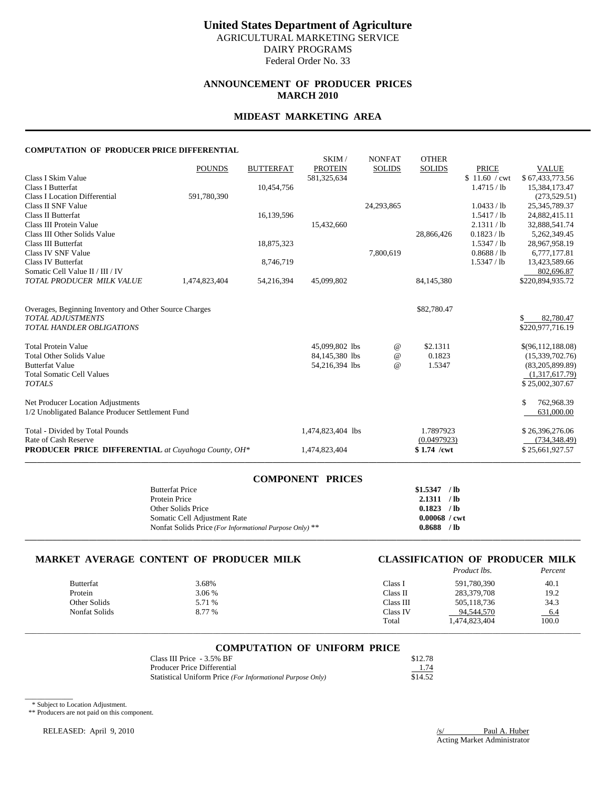# **ANNOUNCEMENT OF PRODUCER PRICES MARCH 2010**

# **MIDEAST MARKETING AREA**

#### **COMPUTATION OF PRODUCER PRICE DIFFERENTIAL**

|                                                            |               |                  | SKIM/             | <b>NONFAT</b> | <b>OTHER</b>  |               |                   |
|------------------------------------------------------------|---------------|------------------|-------------------|---------------|---------------|---------------|-------------------|
|                                                            | <b>POUNDS</b> | <b>BUTTERFAT</b> | <b>PROTEIN</b>    | <b>SOLIDS</b> | <b>SOLIDS</b> | <b>PRICE</b>  | <b>VALUE</b>      |
| Class I Skim Value                                         |               |                  | 581,325,634       |               |               | \$11.60 / cwt | \$67,433,773.56   |
| Class I Butterfat                                          |               | 10,454,756       |                   |               |               | 1.4715 / lb   | 15,384,173.47     |
| <b>Class I Location Differential</b>                       | 591,780,390   |                  |                   |               |               |               | (273, 529.51)     |
| Class II SNF Value                                         |               |                  |                   | 24,293,865    |               | 1.0433 / lb   | 25, 345, 789. 37  |
| Class II Butterfat                                         |               | 16,139,596       |                   |               |               | 1.5417 / lb   | 24,882,415.11     |
| Class III Protein Value                                    |               |                  | 15,432,660        |               |               | 2.1311 / lb   | 32,888,541.74     |
| Class III Other Solids Value                               |               |                  |                   |               | 28,866,426    | 0.1823 / lb   | 5,262,349.45      |
| Class III Butterfat                                        |               | 18,875,323       |                   |               |               | 1.5347 / lb   | 28,967,958.19     |
| Class IV SNF Value                                         |               |                  |                   | 7,800,619     |               | 0.8688 / lb   | 6,777,177.81      |
| Class IV Butterfat                                         |               | 8,746,719        |                   |               |               | 1.5347 / lb   | 13,423,589.66     |
| Somatic Cell Value II / III / IV                           |               |                  |                   |               |               |               | 802.696.87        |
| TOTAL PRODUCER MILK VALUE                                  | 1,474,823,404 | 54,216,394       | 45,099,802        |               | 84,145,380    |               | \$220,894,935.72  |
|                                                            |               |                  |                   |               |               |               |                   |
|                                                            |               |                  |                   |               |               |               |                   |
| Overages, Beginning Inventory and Other Source Charges     |               |                  |                   |               | \$82,780.47   |               |                   |
| <b>TOTAL ADJUSTMENTS</b>                                   |               |                  |                   |               |               |               | 82,780.47<br>S.   |
| TOTAL HANDLER OBLIGATIONS                                  |               |                  |                   |               |               |               | \$220,977,716.19  |
|                                                            |               |                  |                   |               |               |               |                   |
| <b>Total Protein Value</b>                                 |               |                  | 45,099,802 lbs    | $^{\,a}$      | \$2.1311      |               | \$(96,112,188.08) |
| <b>Total Other Solids Value</b>                            |               |                  | 84,145,380 lbs    | $\omega$      | 0.1823        |               | (15,339,702.76)   |
| <b>Butterfat Value</b>                                     |               |                  | 54,216,394 lbs    | $\omega$      | 1.5347        |               | (83,205,899.89)   |
| <b>Total Somatic Cell Values</b>                           |               |                  |                   |               |               |               | (1,317,617.79)    |
| <b>TOTALS</b>                                              |               |                  |                   |               |               |               | \$25,002,307.67   |
|                                                            |               |                  |                   |               |               |               |                   |
| Net Producer Location Adjustments                          |               |                  |                   |               |               |               | \$<br>762,968.39  |
| 1/2 Unobligated Balance Producer Settlement Fund           |               |                  |                   |               |               |               | 631,000.00        |
| Total - Divided by Total Pounds                            |               |                  | 1,474,823,404 lbs |               | 1.7897923     |               | \$26,396,276.06   |
| Rate of Cash Reserve                                       |               |                  |                   |               | (0.0497923)   |               | (734, 348.49)     |
| <b>PRODUCER PRICE DIFFERENTIAL</b> at Cuyahoga County, OH* |               |                  | 1,474,823,404     |               | $$1.74$ /cwt  |               | \$25,661,927.57   |
|                                                            |               |                  |                   |               |               |               |                   |

| <b>COMPONENT PRICES</b>                                 |                        |  |
|---------------------------------------------------------|------------------------|--|
| <b>Butterfat Price</b>                                  | \$1.5347<br>$/$ lb     |  |
| Protein Price                                           | 2.1311<br>$/$ lb       |  |
| Other Solids Price                                      | 0.1823<br>$/$ lb       |  |
| Somatic Cell Adjustment Rate                            | $0.00068 / \text{cwt}$ |  |
| Nonfat Solids Price (For Informational Purpose Only) ** | $/$ lb<br>0.8688       |  |
|                                                         |                        |  |

# **MARKET AVERAGE CONTENT OF PRODUCER MILK CLASSIFICATION OF PRODUCER MILK** Product lbs. Percent

| Product lbs.<br>Percent |
|-------------------------|
| 591,780,390<br>40.1     |
| 19.2<br>283,379,708     |
| 34.3<br>505,118,736     |
| 94,544,570<br>$-6.4$    |
| 100.0<br>1,474,823,404  |
|                         |

# \_\_\_\_\_\_\_\_\_\_\_\_\_\_\_\_\_\_\_\_\_\_\_\_\_\_\_\_\_\_\_\_\_\_\_\_\_\_\_\_\_\_\_\_\_\_\_\_\_\_\_\_\_\_\_\_\_\_\_\_\_\_\_\_\_\_\_\_\_\_\_\_\_\_\_\_\_\_\_\_\_\_\_\_\_\_\_\_\_\_\_\_\_\_\_\_\_\_\_\_\_\_\_\_\_\_\_\_\_\_\_\_\_\_\_\_\_\_\_\_\_\_\_\_\_\_\_\_\_\_\_\_\_\_\_\_\_\_\_ **COMPUTATION OF UNIFORM PRICE**

| Class III Price - 3.5% BF                                  | \$12.78 |
|------------------------------------------------------------|---------|
| Producer Price Differential                                | 1.74    |
| Statistical Uniform Price (For Informational Purpose Only) | \$14.52 |

\* Subject to Location Adjustment.

 $\overline{\phantom{a}}$ 

\*\* Producers are not paid on this component.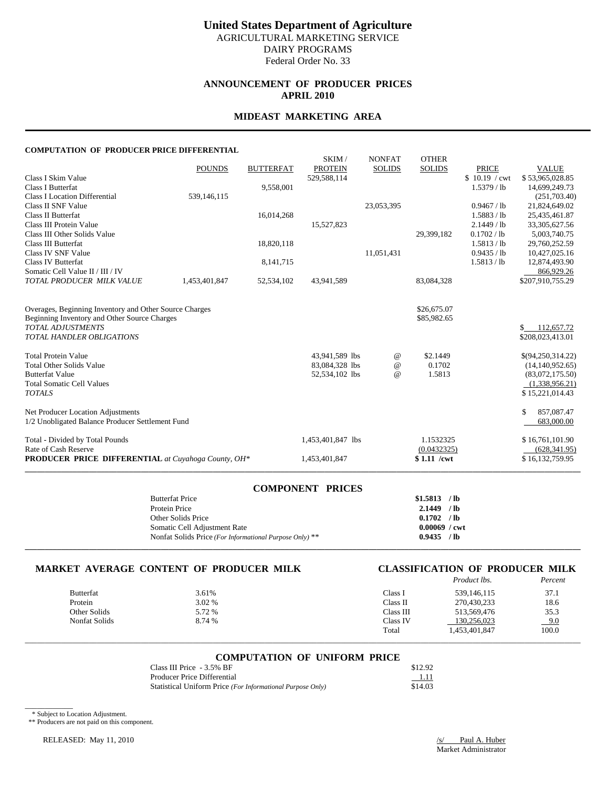# **ANNOUNCEMENT OF PRODUCER PRICES APRIL 2010**

## **MIDEAST MARKETING AREA**

#### **COMPUTATION OF PRODUCER PRICE DIFFERENTIAL**

|                                                            |               |                  | SKIM/             | <b>NONFAT</b> | <b>OTHER</b>  |               |                             |
|------------------------------------------------------------|---------------|------------------|-------------------|---------------|---------------|---------------|-----------------------------|
|                                                            | <b>POUNDS</b> | <b>BUTTERFAT</b> | <b>PROTEIN</b>    | <b>SOLIDS</b> | <b>SOLIDS</b> | <b>PRICE</b>  | <b>VALUE</b>                |
| Class I Skim Value                                         |               |                  | 529,588,114       |               |               | \$10.19 / cwt | \$53,965,028.85             |
| Class I Butterfat                                          |               | 9,558,001        |                   |               |               | 1.5379 / lb   | 14,699,249.73               |
| <b>Class I Location Differential</b>                       | 539,146,115   |                  |                   |               |               |               | (251,703.40)                |
| Class II SNF Value                                         |               |                  |                   | 23,053,395    |               | 0.9467 / lb   | 21,824,649.02               |
| Class II Butterfat                                         |               | 16,014,268       |                   |               |               | 1.5883 / lb   | 25,435,461.87               |
| Class III Protein Value                                    |               |                  | 15,527,823        |               |               | 2.1449 / lb   | 33, 305, 627. 56            |
| Class III Other Solids Value                               |               |                  |                   |               | 29,399,182    | 0.1702 / lb   | 5,003,740.75                |
| Class III Butterfat                                        |               | 18,820,118       |                   |               |               | 1.5813 / lb   | 29.760.252.59               |
| Class IV SNF Value                                         |               |                  |                   | 11,051,431    |               | 0.9435 / lb   | 10,427,025.16               |
| <b>Class IV Butterfat</b>                                  |               | 8,141,715        |                   |               |               | 1.5813 / lb   | 12,874,493.90               |
| Somatic Cell Value II / III / IV                           |               |                  |                   |               |               |               | 866,929.26                  |
| TOTAL PRODUCER MILK VALUE                                  | 1,453,401,847 | 52,534,102       | 43,941,589        |               | 83,084,328    |               | \$207,910,755.29            |
|                                                            |               |                  |                   |               |               |               |                             |
| Overages, Beginning Inventory and Other Source Charges     |               |                  |                   |               | \$26,675.07   |               |                             |
| Beginning Inventory and Other Source Charges               |               |                  |                   |               | \$85,982.65   |               |                             |
| <b>TOTAL ADJUSTMENTS</b>                                   |               |                  |                   |               |               |               | <sup>\$</sup><br>112,657.72 |
| <b>TOTAL HANDLER OBLIGATIONS</b>                           |               |                  |                   |               |               |               | \$208,023,413.01            |
|                                                            |               |                  |                   |               |               |               |                             |
| <b>Total Protein Value</b>                                 |               |                  | 43,941,589 lbs    | $^{\omega}{}$ | \$2.1449      |               | \$(94,250,314.22)           |
| <b>Total Other Solids Value</b>                            |               |                  | 83,084,328 lbs    | $\omega$      | 0.1702        |               | (14, 140, 952.65)           |
| <b>Butterfat Value</b>                                     |               |                  | 52,534,102 lbs    | $\omega$      | 1.5813        |               | (83,072,175.50)             |
| <b>Total Somatic Cell Values</b>                           |               |                  |                   |               |               |               | (1,338,956.21)              |
| <b>TOTALS</b>                                              |               |                  |                   |               |               |               | \$15,221,014.43             |
|                                                            |               |                  |                   |               |               |               |                             |
| Net Producer Location Adjustments                          |               |                  |                   |               |               |               | \$<br>857,087.47            |
| 1/2 Unobligated Balance Producer Settlement Fund           |               |                  |                   |               |               |               | 683,000.00                  |
| Total - Divided by Total Pounds                            |               |                  | 1,453,401,847 lbs |               | 1.1532325     |               | \$16,761,101.90             |
| Rate of Cash Reserve                                       |               |                  |                   |               | (0.0432325)   |               | (628, 341.95)               |
| <b>PRODUCER PRICE DIFFERENTIAL</b> at Cuyahoga County, OH* |               |                  | 1,453,401,847     |               | $$1.11$ /cwt  |               | \$16,132,759.95             |
|                                                            |               |                  |                   |               |               |               |                             |

### **COMPONENT PRICES**

| <b>Butterfat Price</b>                                  | \$1.5813        | $/$ lb |
|---------------------------------------------------------|-----------------|--------|
| Protein Price                                           | 2.1449          | $/$ lb |
| Other Solids Price                                      | 0.1702          | $/$ lb |
| Somatic Cell Adjustment Rate                            | $0.00069$ / cwt |        |
| Nonfat Solids Price (For Informational Purpose Only) ** | 0.9435          | / lb   |
|                                                         |                 |        |

# **MARKET AVERAGE CONTENT OF PRODUCER MILK CLASSIFICATION OF PRODUCER MILK**

|               |        |           | Product lbs.  | Percent |
|---------------|--------|-----------|---------------|---------|
| Butterfat     | 3.61%  | Class I   | 539.146.115   | 37.1    |
| Protein       | 3.02 % | Class II  | 270,430,233   | 18.6    |
| Other Solids  | 5.72 % | Class III | 513.569.476   | 35.3    |
| Nonfat Solids | 8.74 % | Class IV  | 130.256.023   | 9.0     |
|               |        | Total     | 1.453.401.847 | 100.0   |

# \_\_\_\_\_\_\_\_\_\_\_\_\_\_\_\_\_\_\_\_\_\_\_\_\_\_\_\_\_\_\_\_\_\_\_\_\_\_\_\_\_\_\_\_\_\_\_\_\_\_\_\_\_\_\_\_\_\_\_\_\_\_\_\_\_\_\_\_\_\_\_\_\_\_\_\_\_\_\_\_\_\_\_\_\_\_\_\_\_\_\_\_\_\_\_\_\_\_\_\_\_\_\_\_\_\_\_\_\_\_\_\_\_\_\_\_\_\_\_\_\_\_\_\_\_\_\_\_\_\_\_\_\_\_\_\_\_\_\_ **COMPUTATION OF UNIFORM PRICE**

| Class III Price - 3.5% BF                                  | \$12.92 |
|------------------------------------------------------------|---------|
| Producer Price Differential                                | 1.11    |
| Statistical Uniform Price (For Informational Purpose Only) | \$14.03 |

\* Subject to Location Adjustment.

 $\overline{\phantom{a}}$ 

\*\* Producers are not paid on this component.

RELEASED: May 11, 2010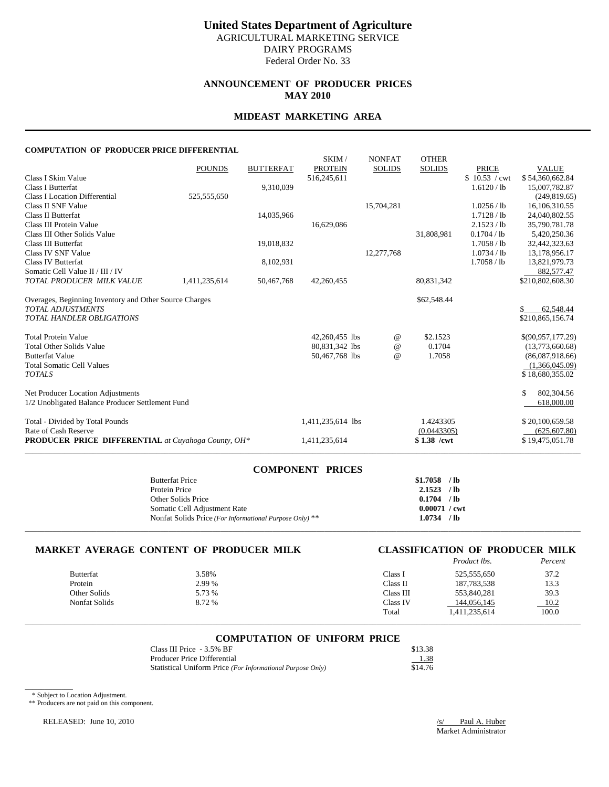# **ANNOUNCEMENT OF PRODUCER PRICES MAY 2010**

# **MIDEAST MARKETING AREA**

#### **COMPUTATION OF PRODUCER PRICE DIFFERENTIAL**

|                                                            |               |                  | SKIM/             | <b>NONFAT</b> | <b>OTHER</b>  |               |                   |
|------------------------------------------------------------|---------------|------------------|-------------------|---------------|---------------|---------------|-------------------|
|                                                            | <b>POUNDS</b> | <b>BUTTERFAT</b> | <b>PROTEIN</b>    | <b>SOLIDS</b> | <b>SOLIDS</b> | <b>PRICE</b>  | <b>VALUE</b>      |
| Class I Skim Value                                         |               |                  | 516,245,611       |               |               | \$10.53 / cwt | \$54,360,662.84   |
| Class I Butterfat                                          |               | 9,310,039        |                   |               |               | 1.6120 / lb   | 15,007,782.87     |
| <b>Class I Location Differential</b>                       | 525,555,650   |                  |                   |               |               |               | (249, 819.65)     |
| Class II SNF Value                                         |               |                  |                   | 15,704,281    |               | 1.0256 / lb   | 16,106,310.55     |
| Class II Butterfat                                         |               | 14,035,966       |                   |               |               | $1.7128$ / lb | 24,040,802.55     |
| Class III Protein Value                                    |               |                  | 16,629,086        |               |               | 2.1523 / lb   | 35,790,781.78     |
| Class III Other Solids Value                               |               |                  |                   |               | 31,808,981    | 0.1704 / lb   | 5,420,250.36      |
| Class III Butterfat                                        |               | 19,018,832       |                   |               |               | 1.7058 / lb   | 32,442,323.63     |
| Class IV SNF Value                                         |               |                  |                   | 12,277,768    |               | 1.0734 / lb   | 13,178,956.17     |
| Class IV Butterfat                                         |               | 8,102,931        |                   |               |               | 1.7058 / lb   | 13,821,979.73     |
| Somatic Cell Value II / III / IV                           |               |                  |                   |               |               |               | 882,577.47        |
| TOTAL PRODUCER MILK VALUE                                  | 1,411,235,614 | 50,467,768       | 42,260,455        |               | 80,831,342    |               | \$210,802,608.30  |
|                                                            |               |                  |                   |               |               |               |                   |
| Overages, Beginning Inventory and Other Source Charges     |               |                  |                   |               | \$62,548.44   |               |                   |
| <b>TOTAL ADJUSTMENTS</b>                                   |               |                  |                   |               |               |               | 62,548.44<br>S.   |
| <b>TOTAL HANDLER OBLIGATIONS</b>                           |               |                  |                   |               |               |               | \$210,865,156.74  |
|                                                            |               |                  |                   |               |               |               |                   |
| <b>Total Protein Value</b>                                 |               |                  | 42,260,455 lbs    | $^{\omega}{}$ | \$2.1523      |               | \$(90,957,177.29) |
| <b>Total Other Solids Value</b>                            |               |                  | 80,831,342 lbs    | $\omega$      | 0.1704        |               | (13,773,660.68)   |
| <b>Butterfat Value</b>                                     |               |                  | 50,467,768 lbs    | $\omega$      | 1.7058        |               | (86,087,918.66)   |
| <b>Total Somatic Cell Values</b>                           |               |                  |                   |               |               |               | (1,366,045.09)    |
| <b>TOTALS</b>                                              |               |                  |                   |               |               |               | \$18,680,355.02   |
|                                                            |               |                  |                   |               |               |               |                   |
| Net Producer Location Adjustments                          |               |                  |                   |               |               |               | \$.<br>802,304.56 |
| 1/2 Unobligated Balance Producer Settlement Fund           |               |                  |                   |               |               |               | 618,000.00        |
| Total - Divided by Total Pounds                            |               |                  | 1,411,235,614 lbs |               | 1.4243305     |               | \$20,100,659.58   |
| Rate of Cash Reserve                                       |               |                  |                   |               | (0.0443305)   |               | (625, 607.80)     |
| <b>PRODUCER PRICE DIFFERENTIAL</b> at Cuyahoga County, OH* |               |                  | 1,411,235,614     |               | $$1.38$ /cwt  |               | \$19,475,051.78   |
|                                                            |               |                  |                   |               |               |               |                   |

| <b>COMPONENT PRICES</b>                                 |                        |
|---------------------------------------------------------|------------------------|
| <b>Butterfat Price</b>                                  | \$1.7058<br>$/$ lb     |
| Protein Price                                           | 2.1523<br>$/$ lb       |
| Other Solids Price                                      | 0.1704<br>$/$ lb       |
| Somatic Cell Adjustment Rate                            | $0.00071 / \text{cwt}$ |
| Nonfat Solids Price (For Informational Purpose Only) ** | / lb<br>1.0734         |
|                                                         |                        |

# **MARKET AVERAGE CONTENT OF PRODUCER MILK CLASSIFICATION OF PRODUCER MILK**

|                  |        |           | Product lbs.  | Percent |
|------------------|--------|-----------|---------------|---------|
| <b>Butterfat</b> | 3.58%  | Class 1   | 525,555,650   | 37.2    |
| Protein          | 2.99 % | Class II  | 187,783,538   | 13.3    |
| Other Solids     | 5.73 % | Class III | 553,840,281   | 39.3    |
| Nonfat Solids    | 8.72 % | Class IV  | 144,056,145   | 10.2    |
|                  |        | Total     | 1,411,235,614 | 100.0   |

# \_\_\_\_\_\_\_\_\_\_\_\_\_\_\_\_\_\_\_\_\_\_\_\_\_\_\_\_\_\_\_\_\_\_\_\_\_\_\_\_\_\_\_\_\_\_\_\_\_\_\_\_\_\_\_\_\_\_\_\_\_\_\_\_\_\_\_\_\_\_\_\_\_\_\_\_\_\_\_\_\_\_\_\_\_\_\_\_\_\_\_\_\_\_\_\_\_\_\_\_\_\_\_\_\_\_\_\_\_\_\_\_\_\_\_\_\_\_\_\_\_\_\_\_\_\_\_\_\_\_\_\_\_\_\_\_\_\_\_ **COMPUTATION OF UNIFORM PRICE**

| Class III Price - 3.5% BF                                  | \$13.38 |
|------------------------------------------------------------|---------|
| Producer Price Differential                                | 1.38    |
| Statistical Uniform Price (For Informational Purpose Only) | \$14.76 |

\* Subject to Location Adjustment.

 $\overline{\phantom{a}}$ 

\*\* Producers are not paid on this component.

RELEASED: June 10, 2010 /s/ Paul A. Huber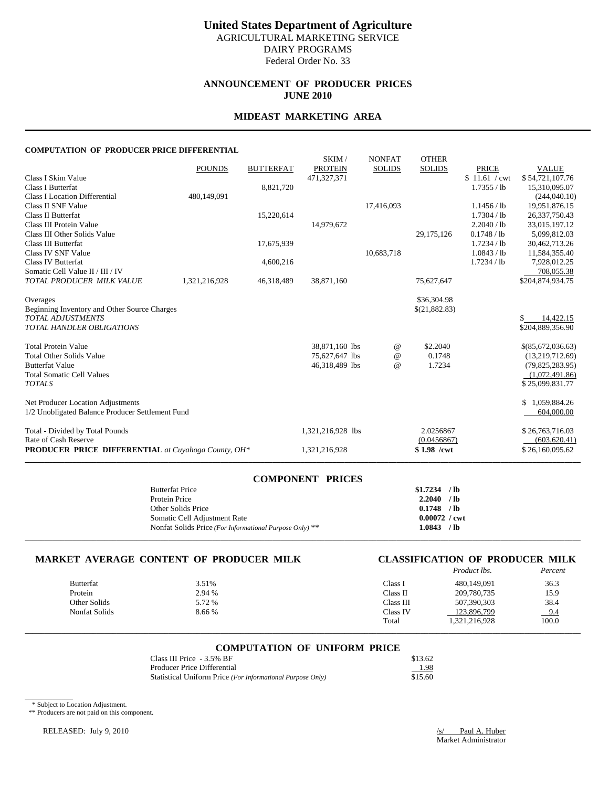# **ANNOUNCEMENT OF PRODUCER PRICES JUNE 2010**

# **MIDEAST MARKETING AREA**

#### **COMPUTATION OF PRODUCER PRICE DIFFERENTIAL**

|                                                            |               |                  | SKIM/             | <b>NONFAT</b>   | <b>OTHER</b>  |               |                                      |
|------------------------------------------------------------|---------------|------------------|-------------------|-----------------|---------------|---------------|--------------------------------------|
|                                                            | <b>POUNDS</b> | <b>BUTTERFAT</b> | <b>PROTEIN</b>    | <b>SOLIDS</b>   | <b>SOLIDS</b> | <b>PRICE</b>  | <b>VALUE</b>                         |
| Class I Skim Value                                         |               |                  | 471,327,371       |                 |               | \$11.61 / cwt | \$54,721,107.76                      |
| Class I Butterfat                                          |               | 8,821,720        |                   |                 |               | 1.7355 / lb   | 15,310,095.07                        |
| <b>Class I Location Differential</b>                       | 480,149,091   |                  |                   |                 |               |               | (244,040.10)                         |
| Class II SNF Value                                         |               |                  |                   | 17,416,093      |               | 1.1456 / lb   | 19,951,876.15                        |
| Class II Butterfat                                         |               | 15,220,614       |                   |                 |               | 1.7304 / lb   | 26, 337, 750. 43                     |
| Class III Protein Value                                    |               |                  | 14,979,672        |                 |               | 2.2040 / lb   | 33,015,197.12                        |
| Class III Other Solids Value                               |               |                  |                   |                 | 29, 175, 126  | 0.1748 / lb   | 5,099,812.03                         |
| Class III Butterfat                                        |               | 17,675,939       |                   |                 |               | 1.7234 / lb   | 30,462,713.26                        |
| Class IV SNF Value                                         |               |                  |                   | 10,683,718      |               | 1.0843 / lb   | 11,584,355.40                        |
| Class IV Butterfat                                         |               | 4,600,216        |                   |                 |               | 1.7234 / lb   | 7.928.012.25                         |
| Somatic Cell Value II / III / IV                           |               |                  |                   |                 |               |               | 708,055.38                           |
| TOTAL PRODUCER MILK VALUE                                  | 1,321,216,928 | 46,318,489       | 38,871,160        |                 | 75,627,647    |               | \$204,874,934.75                     |
| Overages                                                   |               |                  |                   |                 | \$36,304.98   |               |                                      |
| Beginning Inventory and Other Source Charges               |               |                  |                   |                 | \$(21,882.83) |               |                                      |
| <b>TOTAL ADJUSTMENTS</b>                                   |               |                  |                   |                 |               |               | 14,422.15<br>S.                      |
| <b>TOTAL HANDLER OBLIGATIONS</b>                           |               |                  |                   |                 |               |               | \$204,889,356.90                     |
| <b>Total Protein Value</b>                                 |               |                  | 38,871,160 lbs    | $^{\copyright}$ | \$2.2040      |               |                                      |
| <b>Total Other Solids Value</b>                            |               |                  | 75,627,647 lbs    | $\omega$        | 0.1748        |               | \$(85,672,036.63)<br>(13,219,712.69) |
| <b>Butterfat Value</b>                                     |               |                  | 46,318,489 lbs    | $\omega$        | 1.7234        |               | (79, 825, 283.95)                    |
| <b>Total Somatic Cell Values</b>                           |               |                  |                   |                 |               |               | (1,072,491.86)                       |
| <b>TOTALS</b>                                              |               |                  |                   |                 |               |               | \$25,099,831.77                      |
|                                                            |               |                  |                   |                 |               |               |                                      |
| Net Producer Location Adjustments                          |               |                  |                   |                 |               |               | \$1,059,884.26                       |
| 1/2 Unobligated Balance Producer Settlement Fund           |               |                  |                   |                 |               |               | 604,000.00                           |
| Total - Divided by Total Pounds                            |               |                  | 1,321,216,928 lbs |                 | 2.0256867     |               | \$26,763,716.03                      |
| Rate of Cash Reserve                                       |               |                  |                   |                 | (0.0456867)   |               | (603, 620.41)                        |
| <b>PRODUCER PRICE DIFFERENTIAL</b> at Cuyahoga County, OH* |               |                  | 1,321,216,928     |                 | \$1.98 /cwt   |               | \$26,160,095.62                      |
|                                                            |               |                  |                   |                 |               |               |                                      |

| <b>COMPONENT PRICES</b>                                 |                        |
|---------------------------------------------------------|------------------------|
| <b>Butterfat Price</b>                                  | \$1.7234<br>$/$ lb     |
| Protein Price                                           | 2.2040<br>$/$ lb       |
| Other Solids Price                                      | 0.1748<br>$/$ lb       |
| Somatic Cell Adjustment Rate                            | $0.00072 / \text{cwt}$ |
| Nonfat Solids Price (For Informational Purpose Only) ** | $/$ lb<br>1.0843       |
|                                                         |                        |

# **MARKET AVERAGE CONTENT OF PRODUCER MILK CLASSIFICATION OF PRODUCER MILK** Percent

|                  |        |           | Product lbs.  | Percent |
|------------------|--------|-----------|---------------|---------|
| <b>Butterfat</b> | 3.51%  | Class 1   | 480,149,091   | 36.3    |
| Protein          | 2.94 % | Class II  | 209,780,735   | 15.9    |
| Other Solids     | 5.72 % | Class III | 507.390.303   | 38.4    |
| Nonfat Solids    | 8.66 % | Class IV  | 123.896.799   | 9.4     |
|                  |        | Total     | 1,321,216,928 | 100.0   |

\_\_\_\_\_\_\_\_\_\_\_\_\_\_\_\_\_\_\_\_\_\_\_\_\_\_\_\_\_\_\_\_\_\_\_\_\_\_\_\_\_\_\_\_\_\_\_\_\_\_\_\_\_\_\_\_\_\_\_\_\_\_\_\_\_\_\_\_\_\_\_\_\_\_\_\_\_\_\_\_\_\_\_\_\_\_\_\_\_\_\_\_\_\_\_\_\_\_\_\_\_\_\_\_\_\_\_\_\_\_\_\_\_\_\_\_\_\_\_\_\_\_\_\_\_\_\_\_\_\_\_\_\_\_\_\_\_\_\_

### **COMPUTATION OF UNIFORM PRICE**

| Class III Price - 3.5% BF                                  | \$13.62 |
|------------------------------------------------------------|---------|
| Producer Price Differential                                | 1.98    |
| Statistical Uniform Price (For Informational Purpose Only) | \$15.60 |

\* Subject to Location Adjustment.

 $\overline{\phantom{a}}$ 

\*\* Producers are not paid on this component.

RELEASED: July 9, 2010 */s/* Paul A. Huber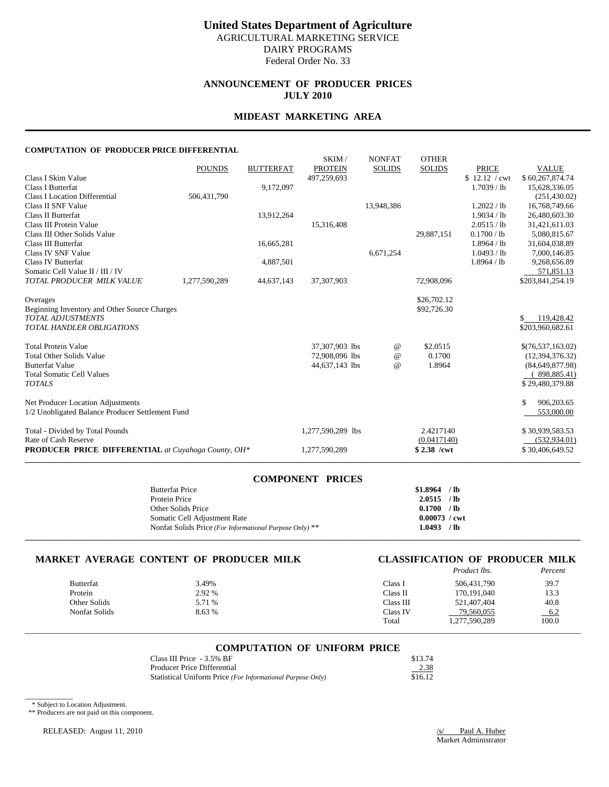# **ANNOUNCEMENT OF PRODUCER PRICES JULY 2010**

# **MIDEAST MARKETING AREA**

#### **COMPUTATION OF PRODUCER PRICE DIFFERENTIAL**

|                                                            |               |                  | SKIM/             | <b>NONFAT</b>   | <b>OTHER</b>  |               |                   |
|------------------------------------------------------------|---------------|------------------|-------------------|-----------------|---------------|---------------|-------------------|
|                                                            | <b>POUNDS</b> | <b>BUTTERFAT</b> | <b>PROTEIN</b>    | <b>SOLIDS</b>   | <b>SOLIDS</b> | <b>PRICE</b>  | <b>VALUE</b>      |
| Class I Skim Value                                         |               |                  | 497,259,693       |                 |               | \$12.12 / cwt | \$60,267,874.74   |
| Class I Butterfat                                          |               | 9,172,097        |                   |                 |               | $1.7039$ / lb | 15,628,336.05     |
| <b>Class I Location Differential</b>                       | 506,431,790   |                  |                   |                 |               |               | (251, 430.02)     |
| Class II SNF Value                                         |               |                  |                   | 13,948,386      |               | 1.2022 / lb   | 16,768,749.66     |
| Class II Butterfat                                         |               | 13,912,264       |                   |                 |               | 1.9034 / lb   | 26,480,603.30     |
| Class III Protein Value                                    |               |                  | 15,316,408        |                 |               | 2.0515 / lb   | 31,421,611.03     |
| Class III Other Solids Value                               |               |                  |                   |                 | 29,887,151    | 0.1700 / lb   | 5.080.815.67      |
| Class III Butterfat                                        |               | 16,665,281       |                   |                 |               | 1.8964 / lb   | 31,604,038.89     |
| Class IV SNF Value                                         |               |                  |                   | 6,671,254       |               | 1.0493 / lb   | 7,000,146.85      |
| Class IV Butterfat                                         |               | 4,887,501        |                   |                 |               | 1.8964 / lb   | 9,268,656.89      |
| Somatic Cell Value II / III / IV                           |               |                  |                   |                 |               |               | 571,851.13        |
| TOTAL PRODUCER MILK VALUE                                  | 1,277,590,289 | 44,637,143       | 37,307,903        |                 | 72,908,096    |               | \$203,841,254.19  |
| Overages                                                   |               |                  |                   |                 | \$26,702.12   |               |                   |
| Beginning Inventory and Other Source Charges               |               |                  |                   |                 | \$92,726.30   |               |                   |
| <b>TOTAL ADJUSTMENTS</b>                                   |               |                  |                   |                 |               |               | 119,428.42<br>\$. |
| <b>TOTAL HANDLER OBLIGATIONS</b>                           |               |                  |                   |                 |               |               | \$203,960,682.61  |
|                                                            |               |                  |                   |                 |               |               |                   |
| <b>Total Protein Value</b>                                 |               |                  | 37,307,903 lbs    | $^{\copyright}$ | \$2.0515      |               | \$(76,537,163.02) |
| <b>Total Other Solids Value</b>                            |               |                  | 72,908,096 lbs    | $\omega$        | 0.1700        |               | (12, 394, 376.32) |
| <b>Butterfat Value</b>                                     |               |                  | 44,637,143 lbs    | $\omega$        | 1.8964        |               | (84, 649, 877.98) |
| <b>Total Somatic Cell Values</b>                           |               |                  |                   |                 |               |               | 898,885.41)       |
| <b>TOTALS</b>                                              |               |                  |                   |                 |               |               | \$29,480,379.88   |
| Net Producer Location Adjustments                          |               |                  |                   |                 |               |               | 906,203.65<br>\$  |
| 1/2 Unobligated Balance Producer Settlement Fund           |               |                  |                   |                 |               |               | 553,000.00        |
| Total - Divided by Total Pounds                            |               |                  | 1,277,590,289 lbs |                 | 2.4217140     |               | \$30,939,583.53   |
| Rate of Cash Reserve                                       |               |                  |                   |                 | (0.0417140)   |               | (532, 934.01)     |
| <b>PRODUCER PRICE DIFFERENTIAL</b> at Cuyahoga County, OH* |               |                  | 1,277,590,289     |                 | $$2.38$ /cwt  |               | \$30,406,649.52   |
|                                                            |               |                  |                   |                 |               |               |                   |

| <b>COMPONENT PRICES</b>                                 |                        |  |
|---------------------------------------------------------|------------------------|--|
| <b>Butterfat Price</b>                                  | \$1.8964<br>$/$ lb     |  |
| Protein Price                                           | 2.0515<br>$/$ lb       |  |
| Other Solids Price                                      | 0.1700<br>$/$ lb       |  |
| Somatic Cell Adjustment Rate                            | $0.00073 / \text{cwt}$ |  |
| Nonfat Solids Price (For Informational Purpose Only) ** | $/$ lb<br>1.0493       |  |
|                                                         |                        |  |

# **MARKET AVERAGE CONTENT OF PRODUCER MILK CLASSIFICATION OF PRODUCER MILK** Product lbs. Percent

|                  |        |           | Product lbs.  | Percent |
|------------------|--------|-----------|---------------|---------|
| <b>Butterfat</b> | 3.49%  | Class 1   | 506.431.790   | 39.7    |
| Protein          | 2.92 % | Class II  | 170.191.040   | 13.3    |
| Other Solids     | 5.71 % | Class III | 521,407,404   | 40.8    |
| Nonfat Solids    | 8.63 % | Class IV  | 79,560,055    | 6.2     |
|                  |        | Total     | 1,277,590,289 | 100.0   |

# \_\_\_\_\_\_\_\_\_\_\_\_\_\_\_\_\_\_\_\_\_\_\_\_\_\_\_\_\_\_\_\_\_\_\_\_\_\_\_\_\_\_\_\_\_\_\_\_\_\_\_\_\_\_\_\_\_\_\_\_\_\_\_\_\_\_\_\_\_\_\_\_\_\_\_\_\_\_\_\_\_\_\_\_\_\_\_\_\_\_\_\_\_\_\_\_\_\_\_\_\_\_\_\_\_\_\_\_\_\_\_\_\_\_\_\_\_\_\_\_\_\_\_\_\_\_\_\_\_\_\_\_\_\_\_\_\_\_\_ **COMPUTATION OF UNIFORM PRICE**

| Class III Price - 3.5% BF                                  | \$13.74 |
|------------------------------------------------------------|---------|
| Producer Price Differential                                | 2.38    |
| Statistical Uniform Price (For Informational Purpose Only) | \$16.12 |

\* Subject to Location Adjustment.

 $\overline{\phantom{a}}$ 

\*\* Producers are not paid on this component.

RELEASED: August 11, 2010 */s/ Paul A. Huber*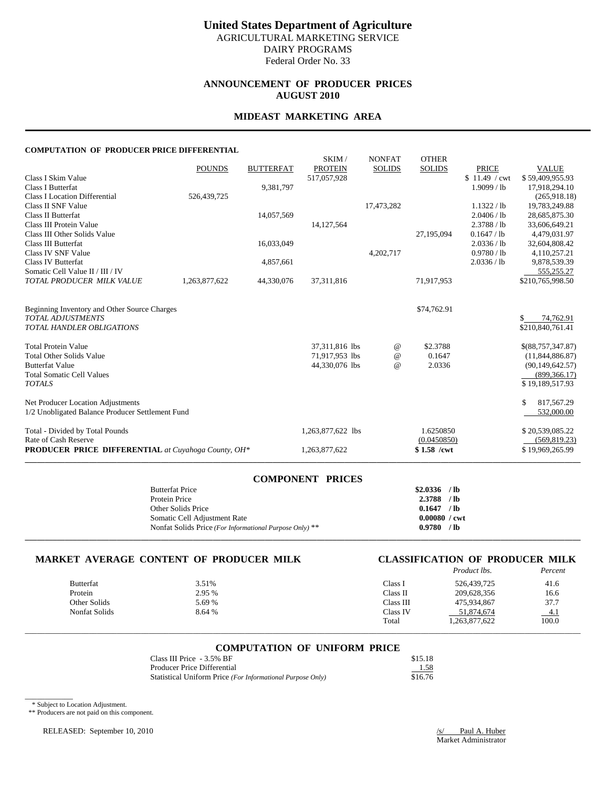# **ANNOUNCEMENT OF PRODUCER PRICES AUGUST 2010**

## **MIDEAST MARKETING AREA**

#### **COMPUTATION OF PRODUCER PRICE DIFFERENTIAL**

|                                                            |               |                  | SKIM/             | <b>NONFAT</b> | <b>OTHER</b>  |               |                   |
|------------------------------------------------------------|---------------|------------------|-------------------|---------------|---------------|---------------|-------------------|
|                                                            | <b>POUNDS</b> | <b>BUTTERFAT</b> | <b>PROTEIN</b>    | <b>SOLIDS</b> | <b>SOLIDS</b> | <b>PRICE</b>  | <b>VALUE</b>      |
| Class I Skim Value                                         |               |                  | 517,057,928       |               |               | \$11.49 / cwt | \$59,409,955.93   |
| Class I Butterfat                                          |               | 9,381,797        |                   |               |               | 1.9099 / lb   | 17,918,294.10     |
| <b>Class I Location Differential</b>                       | 526,439,725   |                  |                   |               |               |               | (265,918.18)      |
| Class II SNF Value                                         |               |                  |                   | 17,473,282    |               | 1.1322 / lb   | 19,783,249.88     |
| Class II Butterfat                                         |               | 14,057,569       |                   |               |               | 2.0406 / lb   | 28,685,875.30     |
| Class III Protein Value                                    |               |                  | 14,127,564        |               |               | 2.3788 / lb   | 33,606,649.21     |
| Class III Other Solids Value                               |               |                  |                   |               | 27,195,094    | 0.1647 / lb   | 4,479,031.97      |
| Class III Butterfat                                        |               | 16,033,049       |                   |               |               | 2.0336 / lb   | 32,604,808.42     |
| Class IV SNF Value                                         |               |                  |                   | 4,202,717     |               | 0.9780 / lb   | 4,110,257.21      |
| Class IV Butterfat                                         |               | 4,857,661        |                   |               |               | 2.0336 / lb   | 9,878,539.39      |
| Somatic Cell Value II / III / IV                           |               |                  |                   |               |               |               | 555,255.27        |
| TOTAL PRODUCER MILK VALUE                                  | 1,263,877,622 | 44,330,076       | 37,311,816        |               | 71,917,953    |               | \$210,765,998.50  |
|                                                            |               |                  |                   |               |               |               |                   |
|                                                            |               |                  |                   |               |               |               |                   |
| Beginning Inventory and Other Source Charges               |               |                  |                   |               | \$74,762.91   |               |                   |
| <b>TOTAL ADJUSTMENTS</b>                                   |               |                  |                   |               |               |               | 74,762.91<br>S.   |
| TOTAL HANDLER OBLIGATIONS                                  |               |                  |                   |               |               |               | \$210,840,761.41  |
| <b>Total Protein Value</b>                                 |               |                  | 37,311,816 lbs    | $^{\,a}$      | \$2.3788      |               | \$(88,757,347.87) |
| <b>Total Other Solids Value</b>                            |               |                  | 71,917,953 lbs    | $\omega$      | 0.1647        |               | (11, 844, 886.87) |
| <b>Butterfat Value</b>                                     |               |                  | 44,330,076 lbs    | $\omega$      | 2.0336        |               | (90, 149, 642.57) |
| <b>Total Somatic Cell Values</b>                           |               |                  |                   |               |               |               | (899, 366.17)     |
| <b>TOTALS</b>                                              |               |                  |                   |               |               |               | \$19,189,517.93   |
|                                                            |               |                  |                   |               |               |               |                   |
| Net Producer Location Adjustments                          |               |                  |                   |               |               |               | 817.567.29<br>\$  |
| 1/2 Unobligated Balance Producer Settlement Fund           |               |                  |                   |               |               |               | 532,000.00        |
|                                                            |               |                  |                   |               |               |               |                   |
| Total - Divided by Total Pounds                            |               |                  | 1,263,877,622 lbs |               | 1.6250850     |               | \$20,539,085.22   |
| Rate of Cash Reserve                                       |               |                  |                   |               | (0.0450850)   |               | (569, 819.23)     |
| <b>PRODUCER PRICE DIFFERENTIAL</b> at Cuyahoga County, OH* |               |                  | 1,263,877,622     |               | $$1.58$ /cwt  |               | \$19,969,265.99   |
|                                                            |               |                  |                   |               |               |               |                   |

| <b>COMPONENT PRICES</b>                                 |                        |  |
|---------------------------------------------------------|------------------------|--|
| <b>Butterfat Price</b>                                  | \$2.0336<br>$/$ lb     |  |
| Protein Price                                           | 2.3788<br>$/$ lb       |  |
| Other Solids Price                                      | 0.1647<br>$/$ lb       |  |
| Somatic Cell Adjustment Rate                            | $0.00080 / \text{cwt}$ |  |
| Nonfat Solids Price (For Informational Purpose Only) ** | $/$ lb<br>0.9780       |  |
|                                                         |                        |  |

# **MARKET AVERAGE CONTENT OF PRODUCER MILK CLASSIFICATION OF PRODUCER MILK** Percent

|                  |        |           | Product lbs.  | Percent |
|------------------|--------|-----------|---------------|---------|
| <b>Butterfat</b> | 3.51%  | Class I   | 526,439,725   | 41.6    |
| Protein          | 2.95 % | Class II  | 209.628.356   | 16.6    |
| Other Solids     | 5.69 % | Class III | 475,934,867   | 37.7    |
| Nonfat Solids    | 8.64 % | Class IV  | 51,874,674    | $-4.1$  |
|                  |        | Total     | 1,263,877,622 | 100.0   |

\_\_\_\_\_\_\_\_\_\_\_\_\_\_\_\_\_\_\_\_\_\_\_\_\_\_\_\_\_\_\_\_\_\_\_\_\_\_\_\_\_\_\_\_\_\_\_\_\_\_\_\_\_\_\_\_\_\_\_\_\_\_\_\_\_\_\_\_\_\_\_\_\_\_\_\_\_\_\_\_\_\_\_\_\_\_\_\_\_\_\_\_\_\_\_\_\_\_\_\_\_\_\_\_\_\_\_\_\_\_\_\_\_\_\_\_\_\_\_\_\_\_\_\_\_\_\_\_\_\_\_\_\_\_\_\_\_\_\_

### **COMPUTATION OF UNIFORM PRICE**

| Class III Price - 3.5% BF                                  | \$15.18 |
|------------------------------------------------------------|---------|
| Producer Price Differential                                | 1.58    |
| Statistical Uniform Price (For Informational Purpose Only) | \$16.76 |

\* Subject to Location Adjustment.

 $\overline{\phantom{a}}$ 

\*\* Producers are not paid on this component.

RELEASED: September 10, 2010 */s/ Paul A. Huber /s/ Paul A. Huber*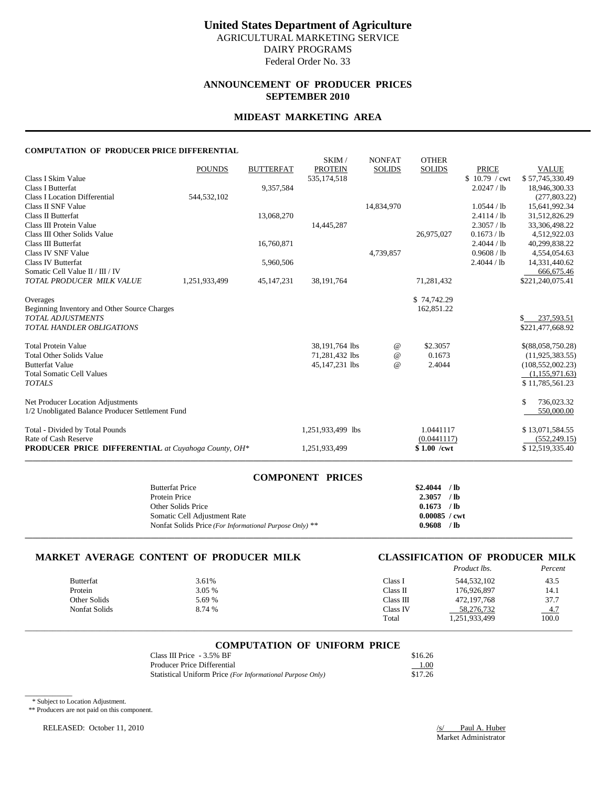## **ANNOUNCEMENT OF PRODUCER PRICES SEPTEMBER 2010**

# **MIDEAST MARKETING AREA**

### **COMPUTATION OF PRODUCER PRICE DIFFERENTIAL**

|                                                            | <b>POUNDS</b> | <b>BUTTERFAT</b> | SKIM/<br><b>PROTEIN</b> | <b>NONFAT</b><br><b>SOLIDS</b> | <b>OTHER</b><br><b>SOLIDS</b> | <b>PRICE</b>  | <b>VALUE</b>        |
|------------------------------------------------------------|---------------|------------------|-------------------------|--------------------------------|-------------------------------|---------------|---------------------|
| Class I Skim Value                                         |               |                  | 535,174,518             |                                |                               | \$10.79 / cwt | \$57,745,330.49     |
| Class I Butterfat                                          |               | 9,357,584        |                         |                                |                               | 2.0247 / lb   | 18,946,300.33       |
| <b>Class I Location Differential</b>                       | 544,532,102   |                  |                         |                                |                               |               | (277, 803.22)       |
| Class II SNF Value                                         |               |                  |                         | 14,834,970                     |                               | 1.0544 / lb   | 15,641,992.34       |
| Class II Butterfat                                         |               | 13,068,270       |                         |                                |                               | 2.4114 / lb   | 31,512,826.29       |
| Class III Protein Value                                    |               |                  | 14,445,287              |                                |                               | 2.3057 / lb   | 33,306,498.22       |
| Class III Other Solids Value                               |               |                  |                         |                                | 26.975.027                    | 0.1673 / lb   | 4,512,922.03        |
| Class III Butterfat                                        |               | 16,760,871       |                         |                                |                               | 2.4044 / lb   | 40,299,838.22       |
| Class IV SNF Value                                         |               |                  |                         | 4,739,857                      |                               | 0.9608 / lb   | 4,554,054.63        |
| Class IV Butterfat                                         |               | 5,960,506        |                         |                                |                               | 2.4044 / lb   | 14,331,440.62       |
| Somatic Cell Value II / III / IV                           |               |                  |                         |                                |                               |               | 666,675.46          |
| TOTAL PRODUCER MILK VALUE                                  | 1,251,933,499 | 45,147,231       | 38,191,764              |                                | 71,281,432                    |               | \$221,240,075.41    |
| Overages                                                   |               |                  |                         |                                | \$74,742.29                   |               |                     |
| Beginning Inventory and Other Source Charges               |               |                  |                         |                                | 162,851.22                    |               |                     |
| <b>TOTAL ADJUSTMENTS</b>                                   |               |                  |                         |                                |                               |               | \$.<br>237,593.51   |
| <b>TOTAL HANDLER OBLIGATIONS</b>                           |               |                  |                         |                                |                               |               | \$221,477,668.92    |
| <b>Total Protein Value</b>                                 |               |                  | 38,191,764 lbs          | $^{\copyright}$                | \$2.3057                      |               | \$(88,058,750.28)   |
| <b>Total Other Solids Value</b>                            |               |                  | 71,281,432 lbs          | $\omega$                       | 0.1673                        |               | (11, 925, 383.55)   |
| <b>Butterfat Value</b>                                     |               |                  | 45,147,231 lbs          | $\omega$                       | 2.4044                        |               | (108, 552, 002, 23) |
| <b>Total Somatic Cell Values</b>                           |               |                  |                         |                                |                               |               | (1,155,971.63)      |
| <b>TOTALS</b>                                              |               |                  |                         |                                |                               |               | \$11,785,561.23     |
| Net Producer Location Adjustments                          |               |                  |                         |                                |                               |               | \$<br>736,023.32    |
| 1/2 Unobligated Balance Producer Settlement Fund           |               |                  |                         |                                |                               |               | 550,000.00          |
| Total - Divided by Total Pounds                            |               |                  | 1,251,933,499 lbs       |                                | 1.0441117                     |               | \$13,071,584.55     |
| Rate of Cash Reserve                                       |               |                  |                         |                                | (0.0441117)                   |               | (552, 249.15)       |
| <b>PRODUCER PRICE DIFFERENTIAL</b> at Cuyahoga County, OH* |               |                  | 1,251,933,499           |                                | $$1.00$ /cwt                  |               | \$12,519,335.40     |

| <b>COMPONENT PRICES</b>                                 |                        |      |
|---------------------------------------------------------|------------------------|------|
| <b>Butterfat Price</b>                                  | $$2.4044$ / lb         |      |
| Protein Price                                           | 2.3057                 | / lb |
| Other Solids Price                                      | $0.1673$ /lb           |      |
| Somatic Cell Adjustment Rate                            | $0.00085 / \text{cwt}$ |      |
| Nonfat Solids Price (For Informational Purpose Only) ** | $0.9608$ /lb           |      |
|                                                         |                        |      |

# **MARKET AVERAGE CONTENT OF PRODUCER MILK CLASSIFICATION OF PRODUCER MILK**

# *Product lbs.*

|               |        |           |               | 1 <u>.</u> |
|---------------|--------|-----------|---------------|------------|
| Butterfat     | 3.61%  | Class I   | 544,532,102   | 43.5       |
| Protein       | 3.05 % | Class II  | 176.926.897   | 14.1       |
| Other Solids  | 5.69 % | Class III | 472.197.768   | 37.7       |
| Nonfat Solids | 8.74 % | Class IV  | 58,276,732    | $-4.7$     |
|               |        | Total     | 1,251,933,499 | 100.0      |
|               |        |           |               |            |

### **COMPUTATION OF UNIFORM PRICE**

\_\_\_\_\_\_\_\_\_\_\_\_\_\_\_\_\_\_\_\_\_\_\_\_\_\_\_\_\_\_\_\_\_\_\_\_\_\_\_\_\_\_\_\_\_\_\_\_\_\_\_\_\_\_\_\_\_\_\_\_\_\_\_\_\_\_\_\_\_\_\_\_\_\_\_\_\_\_\_\_\_\_\_\_\_\_\_\_\_\_\_\_\_\_\_\_\_\_\_\_\_\_\_\_\_\_\_\_\_\_\_\_\_\_\_\_\_\_\_\_\_\_\_\_\_\_\_\_\_\_\_\_\_\_\_\_\_\_\_

| Class III Price $-3.5\%$ BF                                | \$16.26 |
|------------------------------------------------------------|---------|
| Producer Price Differential                                | 1.00    |
| Statistical Uniform Price (For Informational Purpose Only) | \$17.26 |

\* Subject to Location Adjustment.

\_\_\_\_\_\_\_\_\_\_\_\_

\*\* Producers are not paid on this component.

RELEASED: October 11, 2010 /s/ Paul A. Huber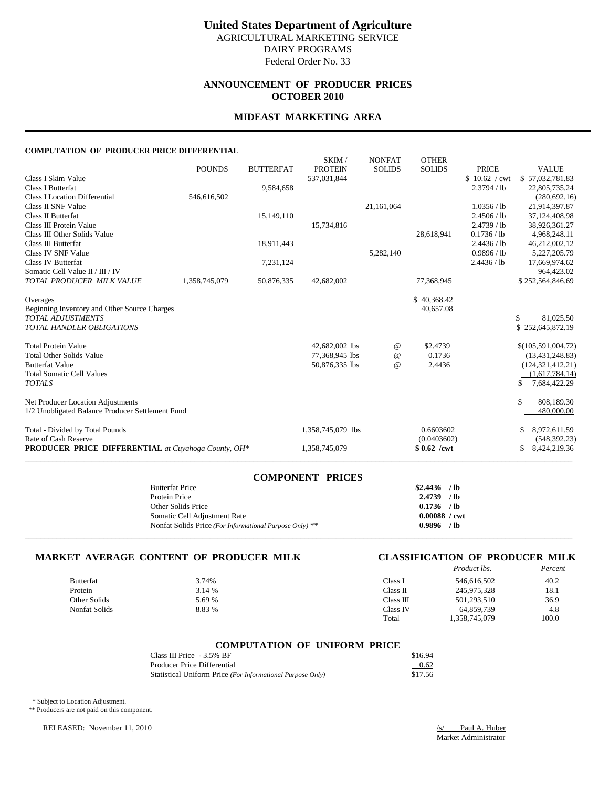## **ANNOUNCEMENT OF PRODUCER PRICES OCTOBER 2010**

### **MIDEAST MARKETING AREA**

### **COMPUTATION OF PRODUCER PRICE DIFFERENTIAL**

|                                                            |               |                  | SKIM/             | <b>NONFAT</b> | <b>OTHER</b>  |               |                                |
|------------------------------------------------------------|---------------|------------------|-------------------|---------------|---------------|---------------|--------------------------------|
|                                                            | <b>POUNDS</b> | <b>BUTTERFAT</b> | <b>PROTEIN</b>    | <b>SOLIDS</b> | <b>SOLIDS</b> | <b>PRICE</b>  | <b>VALUE</b>                   |
| Class I Skim Value                                         |               |                  | 537,031,844       |               |               | \$10.62 / cwt | \$57,032,781.83                |
| <b>Class I Butterfat</b>                                   |               | 9,584,658        |                   |               |               | 2.3794 / lb   | 22,805,735.24                  |
| <b>Class I Location Differential</b>                       | 546,616,502   |                  |                   |               |               |               | (280, 692, 16)                 |
| Class II SNF Value                                         |               |                  |                   | 21,161,064    |               | 1.0356 / lb   | 21,914,397.87                  |
| Class II Butterfat                                         |               | 15,149,110       |                   |               |               | 2.4506 / lb   | 37,124,408.98                  |
| Class III Protein Value                                    |               |                  | 15,734,816        |               |               | 2.4739 / lb   | 38,926,361.27                  |
| Class III Other Solids Value                               |               |                  |                   |               | 28,618,941    | 0.1736 / lb   | 4,968,248.11                   |
| Class III Butterfat                                        |               | 18,911,443       |                   |               |               | 2.4436 / lb   | 46,212,002.12                  |
| Class IV SNF Value                                         |               |                  |                   | 5,282,140     |               | 0.9896 / lb   | 5,227,205.79                   |
| Class IV Butterfat<br>Somatic Cell Value II / III / IV     |               | 7,231,124        |                   |               |               | 2.4436 / lb   | 17,669,974.62                  |
| TOTAL PRODUCER MILK VALUE                                  |               |                  |                   |               |               |               | 964,423.02<br>\$252,564,846.69 |
|                                                            | 1,358,745,079 | 50,876,335       | 42,682,002        |               | 77,368,945    |               |                                |
| Overages                                                   |               |                  |                   |               | \$40,368.42   |               |                                |
| Beginning Inventory and Other Source Charges               |               |                  |                   |               | 40,657.08     |               |                                |
| <b>TOTAL ADJUSTMENTS</b>                                   |               |                  |                   |               |               |               | 81,025.50<br>\$                |
| <b>TOTAL HANDLER OBLIGATIONS</b>                           |               |                  |                   |               |               |               | \$252,645,872.19               |
|                                                            |               |                  |                   |               |               |               |                                |
| <b>Total Protein Value</b>                                 |               |                  | 42,682,002 lbs    | $^{\,a}$      | \$2.4739      |               | \$(105,591,004.72)             |
| <b>Total Other Solids Value</b>                            |               |                  | 77,368,945 lbs    | $^{\,a}$      | 0.1736        |               | (13, 431, 248.83)              |
| <b>Butterfat Value</b>                                     |               |                  | 50,876,335 lbs    | @             | 2.4436        |               | (124, 321, 412.21)             |
| <b>Total Somatic Cell Values</b>                           |               |                  |                   |               |               |               | (1,617,784.14)                 |
| <b>TOTALS</b>                                              |               |                  |                   |               |               |               | \$.<br>7,684,422.29            |
| Net Producer Location Adjustments                          |               |                  |                   |               |               |               | \$<br>808,189.30               |
| 1/2 Unobligated Balance Producer Settlement Fund           |               |                  |                   |               |               |               | 480,000.00                     |
| Total - Divided by Total Pounds                            |               |                  | 1,358,745,079 lbs |               | 0.6603602     |               | 8,972,611.59                   |
| Rate of Cash Reserve                                       |               |                  |                   |               | (0.0403602)   |               | (548, 392, 23)                 |
| <b>PRODUCER PRICE DIFFERENTIAL</b> at Cuyahoga County, OH* |               |                  | 1,358,745,079     |               | $$0.62$ /cwt  |               | 8,424,219.36<br>\$             |
|                                                            |               |                  |                   |               |               |               |                                |

| <b>COMPONENT PRICES</b>                                 |                        |  |
|---------------------------------------------------------|------------------------|--|
| <b>Butterfat Price</b>                                  | $$2,4436$ /lb          |  |
| Protein Price                                           | $2.4739$ /lb           |  |
| Other Solids Price                                      | $0.1736$ /lb           |  |
| Somatic Cell Adjustment Rate                            | $0.00088 / \text{cwt}$ |  |
| Nonfat Solids Price (For Informational Purpose Only) ** | $0.9896$ /lb           |  |
|                                                         |                        |  |

# **MARKET AVERAGE CONTENT OF PRODUCER MILK CLASSIFICATION OF PRODUCER MILK**

# *Product lbs.*

|                  |        |           | 11000000000   | 1 <u>67 667 M</u> |
|------------------|--------|-----------|---------------|-------------------|
| <b>Butterfat</b> | 3.74%  | Class I   | 546,616,502   | 40.2              |
| Protein          | 3.14 % | Class II  | 245,975,328   | 18.1              |
| Other Solids     | 5.69 % | Class III | 501.293.510   | 36.9              |
| Nonfat Solids    | 8.83 % | Class IV  | 64,859,739    | $-4.8$            |
|                  |        | Total     | 1,358,745,079 | 100.0             |
|                  |        |           |               |                   |

#### **COMPUTATION OF UNIFORM PRICE**

\_\_\_\_\_\_\_\_\_\_\_\_\_\_\_\_\_\_\_\_\_\_\_\_\_\_\_\_\_\_\_\_\_\_\_\_\_\_\_\_\_\_\_\_\_\_\_\_\_\_\_\_\_\_\_\_\_\_\_\_\_\_\_\_\_\_\_\_\_\_\_\_\_\_\_\_\_\_\_\_\_\_\_\_\_\_\_\_\_\_\_\_\_\_\_\_\_\_\_\_\_\_\_\_\_\_\_\_\_\_\_\_\_\_\_\_\_\_\_\_\_\_\_\_\_\_\_\_\_\_\_\_\_\_\_\_\_\_\_

| Class III Price - 3.5% BF                                  | \$16.94 |
|------------------------------------------------------------|---------|
| <b>Producer Price Differential</b>                         | 0.62    |
| Statistical Uniform Price (For Informational Purpose Only) | \$17.56 |

\* Subject to Location Adjustment.

\_\_\_\_\_\_\_\_\_\_\_\_

\*\* Producers are not paid on this component.

RELEASED: November 11, 2010 /s/ Paul A. Huber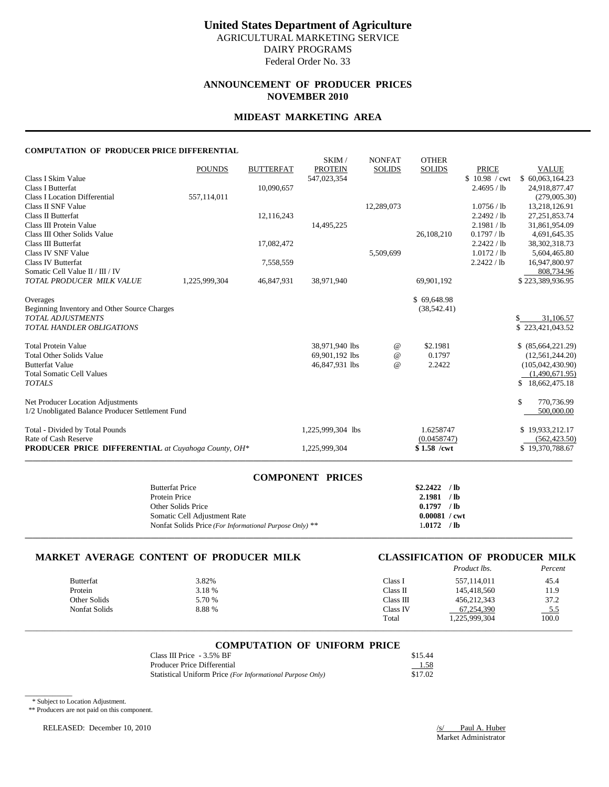## **ANNOUNCEMENT OF PRODUCER PRICES NOVEMBER 2010**

### **MIDEAST MARKETING AREA**

### **COMPUTATION OF PRODUCER PRICE DIFFERENTIAL**

|                                                            | <b>POUNDS</b> |                  | SKIM/<br><b>PROTEIN</b> | <b>NONFAT</b> | <b>OTHER</b><br><b>SOLIDS</b> | <b>PRICE</b>  |                                 |
|------------------------------------------------------------|---------------|------------------|-------------------------|---------------|-------------------------------|---------------|---------------------------------|
| Class I Skim Value                                         |               | <b>BUTTERFAT</b> | 547,023,354             | <b>SOLIDS</b> |                               | \$10.98 / cwt | <b>VALUE</b><br>\$60,063,164.23 |
| <b>Class I Butterfat</b>                                   |               | 10,090,657       |                         |               |                               | 2.4695 / lb   | 24,918,877.47                   |
| Class I Location Differential                              | 557,114,011   |                  |                         |               |                               |               | (279,005.30)                    |
| Class II SNF Value                                         |               |                  |                         | 12,289,073    |                               | 1.0756 / lb   | 13,218,126.91                   |
| Class II Butterfat                                         |               | 12,116,243       |                         |               |                               | 2.2492 / lb   | 27, 251, 853. 74                |
| Class III Protein Value                                    |               |                  | 14,495,225              |               |                               | 2.1981 / lb   | 31,861,954.09                   |
| Class III Other Solids Value                               |               |                  |                         |               | 26,108,210                    | 0.1797 / lb   | 4,691,645.35                    |
| Class III Butterfat                                        |               | 17,082,472       |                         |               |                               | 2.2422 / lb   | 38, 302, 318. 73                |
| Class IV SNF Value                                         |               |                  |                         | 5,509,699     |                               | 1.0172 / lb   | 5,604,465.80                    |
| Class IV Butterfat                                         |               | 7,558,559        |                         |               |                               | 2.2422 / lb   | 16,947,800.97                   |
| Somatic Cell Value II / III / IV                           |               |                  |                         |               |                               |               | 808,734.96                      |
| TOTAL PRODUCER MILK VALUE                                  | 1,225,999,304 | 46,847,931       | 38,971,940              |               | 69,901,192                    |               | \$223,389,936.95                |
| Overages                                                   |               |                  |                         |               | \$69,648.98                   |               |                                 |
| Beginning Inventory and Other Source Charges               |               |                  |                         |               | (38, 542.41)                  |               |                                 |
| <b>TOTAL ADJUSTMENTS</b>                                   |               |                  |                         |               |                               |               | 31,106.57<br>\$.                |
| <b>TOTAL HANDLER OBLIGATIONS</b>                           |               |                  |                         |               |                               |               | \$223,421,043.52                |
| <b>Total Protein Value</b>                                 |               |                  | 38,971,940 lbs          | @             | \$2.1981                      |               | \$ (85,664,221.29)              |
| <b>Total Other Solids Value</b>                            |               |                  | 69,901,192 lbs          | @             | 0.1797                        |               | (12, 561, 244.20)               |
| <b>Butterfat Value</b>                                     |               |                  | 46,847,931 lbs          | $\omega$      | 2.2422                        |               | (105,042,430.90)                |
| <b>Total Somatic Cell Values</b>                           |               |                  |                         |               |                               |               | (1.490.671.95)                  |
| <b>TOTALS</b>                                              |               |                  |                         |               |                               |               | \$18,662,475.18                 |
| Net Producer Location Adjustments                          |               |                  |                         |               |                               |               | \$<br>770,736.99                |
| 1/2 Unobligated Balance Producer Settlement Fund           |               |                  |                         |               |                               |               | 500,000.00                      |
| Total - Divided by Total Pounds                            |               |                  | 1,225,999,304 lbs       |               | 1.6258747                     |               | \$19,933,212.17                 |
| Rate of Cash Reserve                                       |               |                  |                         |               | (0.0458747)                   |               | (562, 423.50)                   |
| <b>PRODUCER PRICE DIFFERENTIAL</b> at Cuyahoga County, OH* |               |                  | 1,225,999,304           |               | $$1.58$ /cwt                  |               | \$19,370,788.67                 |
|                                                            |               |                  |                         |               |                               |               |                                 |

| <b>COMPONENT PRICES</b>                                 |                        |      |
|---------------------------------------------------------|------------------------|------|
| <b>Butterfat Price</b>                                  | $$2,2422$ /lb          |      |
| Protein Price                                           | 2.1981 / lb            |      |
| Other Solids Price                                      | 0.1797                 | / lb |
| Somatic Cell Adjustment Rate                            | $0.00081 / \text{cwt}$ |      |
| Nonfat Solids Price (For Informational Purpose Only) ** | $1.0172$ /lb           |      |
|                                                         |                        |      |

# **MARKET AVERAGE CONTENT OF PRODUCER MILK CLASSIFICATION OF PRODUCER MILK**

|                  |        |           | <i>Product lbs.</i> | Percent    |
|------------------|--------|-----------|---------------------|------------|
| <b>Butterfat</b> | 3.82%  | Class I   | 557.114.011         | 45.4       |
| Protein          | 3.18 % | Class II  | 145.418.560         | 11.9       |
| Other Solids     | 5.70 % | Class III | 456,212,343         | 37.2       |
| Nonfat Solids    | 8.88%  | Class IV  | 67.254.390          | <u>5.5</u> |
|                  |        | Total     | 1,225,999,304       | 100.0      |

### **COMPUTATION OF UNIFORM PRICE**

\_\_\_\_\_\_\_\_\_\_\_\_\_\_\_\_\_\_\_\_\_\_\_\_\_\_\_\_\_\_\_\_\_\_\_\_\_\_\_\_\_\_\_\_\_\_\_\_\_\_\_\_\_\_\_\_\_\_\_\_\_\_\_\_\_\_\_\_\_\_\_\_\_\_\_\_\_\_\_\_\_\_\_\_\_\_\_\_\_\_\_\_\_\_\_\_\_\_\_\_\_\_\_\_\_\_\_\_\_\_\_\_\_\_\_\_\_\_\_\_\_\_\_\_\_\_\_\_\_\_\_\_\_\_\_\_\_\_\_

| Class III Price $-3.5\%$ BF                                | \$15.44 |
|------------------------------------------------------------|---------|
| Producer Price Differential                                | 1.58    |
| Statistical Uniform Price (For Informational Purpose Only) | \$17.02 |

\* Subject to Location Adjustment.

\_\_\_\_\_\_\_\_\_\_\_\_

\*\* Producers are not paid on this component.

RELEASED: December 10, 2010 /s/ Paul A. Huber